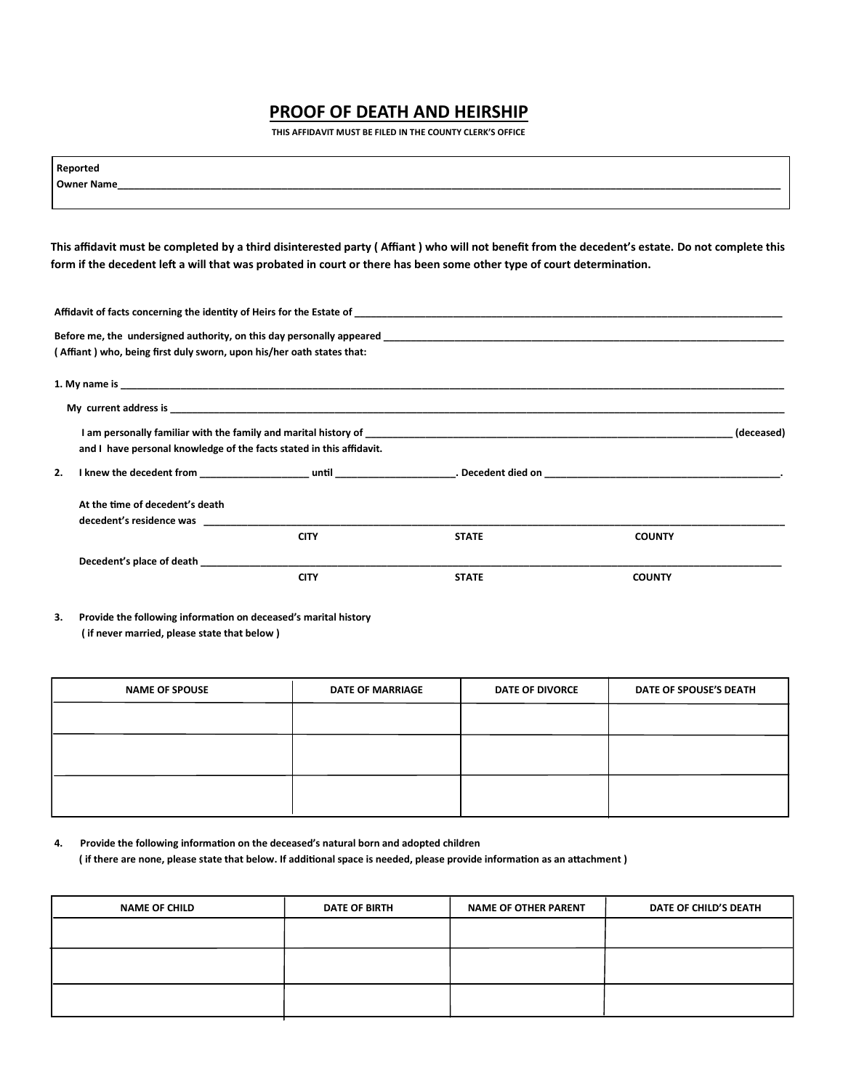# **PROOF OF DEATH AND HEIRSHIP**

 **THIS AFFIDAVIT MUST BE FILED IN THE COUNTY CLERK'S OFFICE**

|    | Reported                                                                                                                                        |             |              |               |            |
|----|-------------------------------------------------------------------------------------------------------------------------------------------------|-------------|--------------|---------------|------------|
|    |                                                                                                                                                 |             |              |               |            |
|    |                                                                                                                                                 |             |              |               |            |
|    | This affidavit must be completed by a third disinterested party (Affiant) who will not benefit from the decedent's estate. Do not complete this |             |              |               |            |
|    | form if the decedent left a will that was probated in court or there has been some other type of court determination.                           |             |              |               |            |
|    |                                                                                                                                                 |             |              |               |            |
|    |                                                                                                                                                 |             |              |               |            |
|    | (Affiant) who, being first duly sworn, upon his/her oath states that:                                                                           |             |              |               |            |
|    |                                                                                                                                                 |             |              |               |            |
|    |                                                                                                                                                 |             |              |               |            |
|    |                                                                                                                                                 |             |              |               | (deceased) |
|    | and I have personal knowledge of the facts stated in this affidavit.                                                                            |             |              |               |            |
| 2. |                                                                                                                                                 |             |              |               |            |
|    | At the time of decedent's death                                                                                                                 |             |              |               |            |
|    |                                                                                                                                                 |             |              |               |            |
|    |                                                                                                                                                 | <b>CITY</b> | <b>STATE</b> | <b>COUNTY</b> |            |
|    | Decedent's place of death                                                                                                                       |             |              |               |            |
|    |                                                                                                                                                 | <b>CITY</b> | <b>STATE</b> | <b>COUNTY</b> |            |
|    |                                                                                                                                                 |             |              |               |            |

**3. Provide the following information on deceased's marital history ( if never married, please state that below )**

| <b>NAME OF SPOUSE</b> | <b>DATE OF MARRIAGE</b> | <b>DATE OF DIVORCE</b> | DATE OF SPOUSE'S DEATH |
|-----------------------|-------------------------|------------------------|------------------------|
|                       |                         |                        |                        |
|                       |                         |                        |                        |
|                       |                         |                        |                        |

**4. Provide the following information on the deceased's natural born and adopted children ( if there are none, please state that below. If additional space is needed, please provide information as an attachment )**

| <b>NAME OF CHILD</b> | <b>DATE OF BIRTH</b> | <b>NAME OF OTHER PARENT</b> | DATE OF CHILD'S DEATH |
|----------------------|----------------------|-----------------------------|-----------------------|
|                      |                      |                             |                       |
|                      |                      |                             |                       |
|                      |                      |                             |                       |
|                      |                      |                             |                       |
|                      |                      |                             |                       |